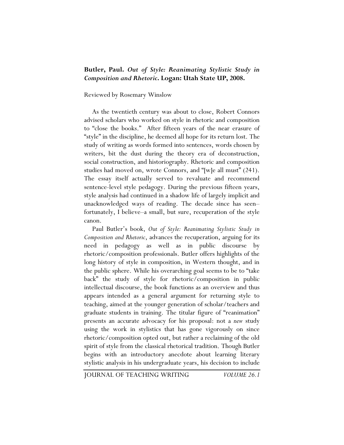## **Butler, Paul.** *Out of Style: Reanimating Stylistic Study in Composition and Rhetoric***. Logan: Utah State UP, 2008.**

## Reviewed by Rosemary Winslow

As the twentieth century was about to close, Robert Connors advised scholars who worked on style in rhetoric and composition to "close the books." After fifteen years of the near erasure of "style" in the discipline, he deemed all hope for its return lost. The study of writing as words formed into sentences, words chosen by writers, bit the dust during the theory era of deconstruction, social construction, and historiography. Rhetoric and composition studies had moved on, wrote Connors, and "[w]e all must" (241). The essay itself actually served to revaluate and recommend sentence-level style pedagogy. During the previous fifteen years, style analysis had continued in a shadow life of largely implicit and unacknowledged ways of reading. The decade since has seen– fortunately, I believe–a small, but sure, recuperation of the style canon.

Paul Butler's book, *Out of Style: Reanimating Stylistic Study in Composition and Rhetoric*, advances the recuperation, arguing for its need in pedagogy as well as in public discourse by rhetoric/composition professionals. Butler offers highlights of the long history of style in composition, in Western thought, and in the public sphere. While his overarching goal seems to be to "take back" the study of style for rhetoric/composition in public intellectual discourse, the book functions as an overview and thus appears intended as a general argument for returning style to teaching, aimed at the younger generation of scholar/teachers and graduate students in training. The titular figure of "reanimation" presents an accurate advocacy for his proposal: not a *new* study using the work in stylistics that has gone vigorously on since rhetoric/composition opted out, but rather a reclaiming of the old spirit of style from the classical rhetorical tradition. Though Butler begins with an introductory anecdote about learning literary stylistic analysis in his undergraduate years, his decision to include

JOURNAL OF TEACHING WRITING *VOLUME 26.1*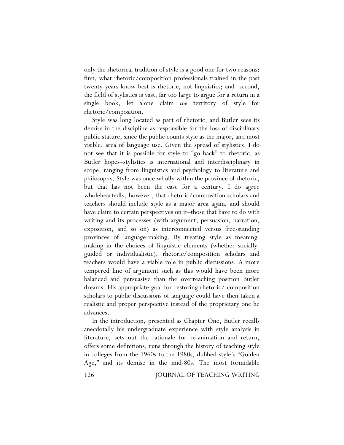only the rhetorical tradition of style is a good one for two reasons: first, what rhetoric/composition professionals trained in the past twenty years know best is rhetoric, not linguistics; and second, the field of stylistics is vast, far too large to argue for a return in a single book, let alone claim *the* territory of style for rhetoric/composition.

Style was long located as part of rhetoric, and Butler sees its demise in the discipline as responsible for the loss of disciplinary public stature, since the public counts style as the major, and most visible, area of language use. Given the spread of stylistics, I do not see that it is possible for style to "go back" to rhetoric, as Butler hopes–stylistics is international and interdisciplinary in scope, ranging from linguistics and psychology to literature and philosophy. Style was once wholly within the province of rhetoric, but that has not been the case for a century. I do agree wholeheartedly, however, that rhetoric/composition scholars and teachers should include style as a major area again, and should have claim to certain perspectives on it–those that have to do with writing and its processes (with argument, persuasion, narration, exposition, and so on) as interconnected versus free-standing provinces of language-making. By treating style as meaningmaking in the choices of linguistic elements (whether sociallyguided or individualistic), rhetoric/composition scholars and teachers would have a viable role in public discussions. A more tempered line of argument such as this would have been more balanced and persuasive than the overreaching position Butler dreams. His appropriate goal for restoring rhetoric/ composition scholars to public discussions of language could have then taken a realistic and proper perspective instead of the proprietary one he advances.

In the introduction, presented as Chapter One, Butler recalls anecdotally his undergraduate experience with style analysis in literature, sets out the rationale for re-animation and return, offers some definitions, runs through the history of teaching style in colleges from the 1960s to the 1980s, dubbed style's "Golden Age," and its demise in the mid-80s. The most formidable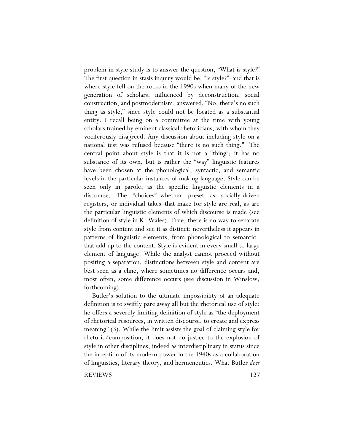problem in style study is to answer the question, "What is style?" The first question in stasis inquiry would be, "Is style?"–and that is where style fell on the rocks in the 1990s when many of the new generation of scholars, influenced by deconstruction, social construction, and postmodernism, answered, "No, there's no such thing as style," since style could not be located as a substantial entity. I recall being on a committee at the time with young scholars trained by eminent classical rhetoricians, with whom they vociferously disagreed. Any discussion about including style on a national test was refused because "there is no such thing." The central point about style is that it is not a "thing"; it has no substance of its own, but is rather the "way" linguistic features have been chosen at the phonological, syntactic, and semantic levels in the particular instances of making language. Style can be seen only in parole, as the specific linguistic elements in a discourse. The "choices"–whether preset as socially-driven registers, or individual takes–that make for style are real, as are the particular linguistic elements of which discourse is made (see definition of style in K. Wales). True, there is no way to separate style from content and see it as distinct; nevertheless it appears in patterns of linguistic elements, from phonological to semantic– that add up to the content. Style is evident in every small to large element of language. While the analyst cannot proceed without positing a separation, distinctions between style and content are best seen as a cline, where sometimes no difference occurs and, most often, some difference occurs (see discussion in Winslow, forthcoming).

Butler's solution to the ultimate impossibility of an adequate definition is to swiftly pare away all but the rhetorical use of style: he offers a severely limiting definition of style as "the deployment of rhetorical resources, in written discourse, to create and express meaning" (3). While the limit assists the goal of claiming style for rhetoric/composition, it does not do justice to the explosion of style in other disciplines, indeed as interdisciplinary in status since the inception of its modern power in the 1940s as a collaboration of linguistics, literary theory, and hermeneutics. What Butler *does*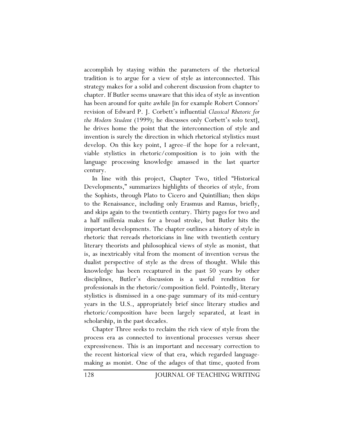accomplish by staying within the parameters of the rhetorical tradition is to argue for a view of style as interconnected. This strategy makes for a solid and coherent discussion from chapter to chapter. If Butler seems unaware that this idea of style as invention has been around for quite awhile [in for example Robert Connors' revision of Edward P. J. Corbett's influential *Classical Rhetoric for the Modern Student* (1999); he discusses only Corbett's solo text], he drives home the point that the interconnection of style and invention is surely the direction in which rhetorical stylistics must develop. On this key point, I agree–if the hope for a relevant, viable stylistics in rhetoric/composition is to join with the language processing knowledge amassed in the last quarter century.

In line with this project, Chapter Two, titled "Historical Developments," summarizes highlights of theories of style, from the Sophists, through Plato to Cicero and Quintillian; then skips to the Renaissance, including only Erasmus and Ramus, briefly, and skips again to the twentieth century. Thirty pages for two and a half millenia makes for a broad stroke, but Butler hits the important developments. The chapter outlines a history of style in rhetoric that rereads rhetoricians in line with twentieth century literary theorists and philosophical views of style as monist, that is, as inextricably vital from the moment of invention versus the dualist perspective of style as the dress of thought. While this knowledge has been recaptured in the past 50 years by other disciplines, Butler's discussion is a useful rendition for professionals in the rhetoric/composition field. Pointedly, literary stylistics is dismissed in a one-page summary of its mid-century years in the U.S., appropriately brief since literary studies and rhetoric/composition have been largely separated, at least in scholarship, in the past decades.

Chapter Three seeks to reclaim the rich view of style from the process era as connected to inventional processes versus sheer expressiveness. This is an important and necessary correction to the recent historical view of that era, which regarded languagemaking as monist. One of the adages of that time, quoted from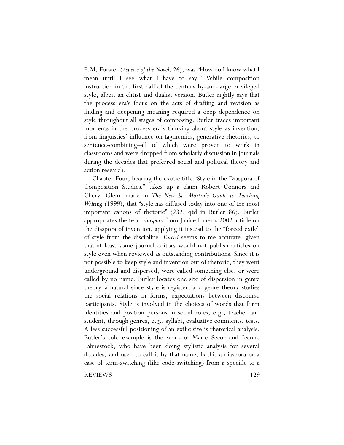E.M. Forster (*Aspects of the Novel,* 26), was "How do I know what I mean until I see what I have to say." While composition instruction in the first half of the century by-and-large privileged style, albeit an elitist and dualist version, Butler rightly says that the process era's focus on the acts of drafting and revision as finding and deepening meaning required a deep dependence on style throughout all stages of composing. Butler traces important moments in the process era's thinking about style as invention, from linguistics' influence on tagmemics, generative rhetorics, to sentence-combining–all of which were proven to work in classrooms and were dropped from scholarly discussion in journals during the decades that preferred social and political theory and action research.

Chapter Four, bearing the exotic title "Style in the Diaspora of Composition Studies," takes up a claim Robert Connors and Cheryl Glenn made in *The New St. Martin's Guide to Teaching Writing* (1999), that "style has diffused today into one of the most important canons of rhetoric" (232; qtd in Butler 86). Butler appropriates the term *diaspora* from Janice Lauer's 2002 article on the diaspora of invention, applying it instead to the "forced exile" of style from the discipline. *Forced* seems to me accurate, given that at least some journal editors would not publish articles on style even when reviewed as outstanding contributions. Since it is not possible to keep style and invention out of rhetoric, they went underground and dispersed, were called something else, or were called by no name. Butler locates one site of dispersion in genre theory–a natural since style is register, and genre theory studies the social relations in forms, expectations between discourse participants. Style is involved in the choices of words that form identities and position persons in social roles, e.g., teacher and student, through genres, e.g., syllabi, evaluative comments, tests. A less successful positioning of an exilic site is rhetorical analysis. Butler's sole example is the work of Marie Secor and Jeanne Fahnestock, who have been doing stylistic analysis for several decades, and used to call it by that name. Is this a diaspora or a case of term-switching (like code-switching) from a specific to a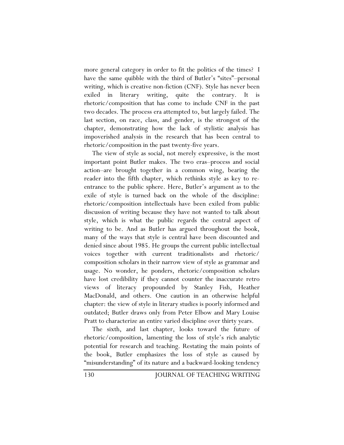more general category in order to fit the politics of the times? I have the same quibble with the third of Butler's "sites"–personal writing, which is creative non-fiction (CNF). Style has never been exiled in literary writing, quite the contrary. It is rhetoric/composition that has come to include CNF in the past two decades. The process era attempted to, but largely failed. The last section, on race, class, and gender, is the strongest of the chapter, demonstrating how the lack of stylistic analysis has impoverished analysis in the research that has been central to rhetoric/composition in the past twenty-five years.

The view of style as social, not merely expressive, is the most important point Butler makes. The two eras–process and social action–are brought together in a common wing, bearing the reader into the fifth chapter, which rethinks style as key to reentrance to the public sphere. Here, Butler's argument as to the exile of style is turned back on the whole of the discipline: rhetoric/composition intellectuals have been exiled from public discussion of writing because they have not wanted to talk about style, which is what the public regards the central aspect of writing to be. And as Butler has argued throughout the book, many of the ways that style is central have been discounted and denied since about 1985. He groups the current public intellectual voices together with current traditionalists and rhetoric/ composition scholars in their narrow view of style as grammar and usage. No wonder, he ponders, rhetoric/composition scholars have lost credibility if they cannot counter the inaccurate retro views of literacy propounded by Stanley Fish, Heather MacDonald, and others. One caution in an otherwise helpful chapter: the view of style in literary studies is poorly informed and outdated; Butler draws only from Peter Elbow and Mary Louise Pratt to characterize an entire varied discipline over thirty years.

The sixth, and last chapter, looks toward the future of rhetoric/composition, lamenting the loss of style's rich analytic potential for research and teaching. Restating the main points of the book, Butler emphasizes the loss of style as caused by "misunderstanding" of its nature and a backward-looking tendency